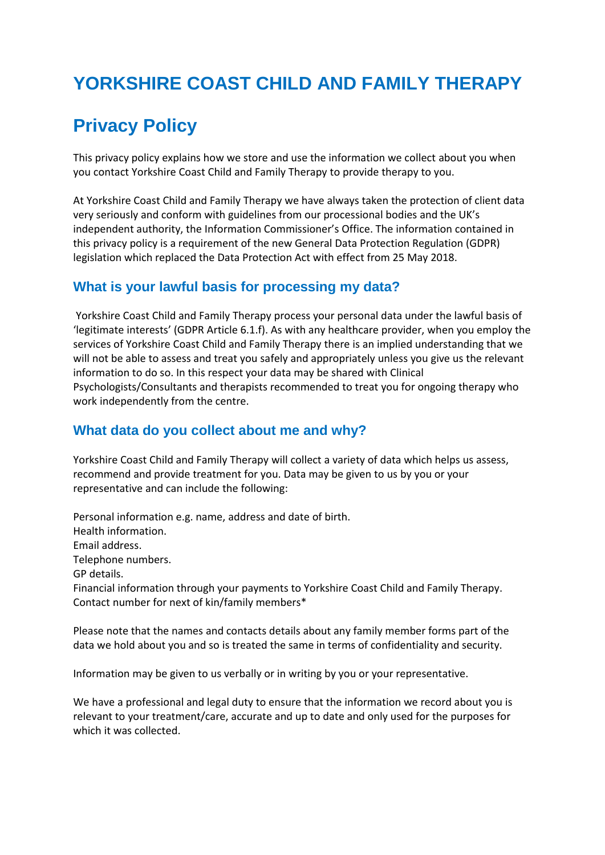# **YORKSHIRE COAST CHILD AND FAMILY THERAPY**

## **Privacy Policy**

This privacy policy explains how we store and use the information we collect about you when you contact Yorkshire Coast Child and Family Therapy to provide therapy to you.

At Yorkshire Coast Child and Family Therapy we have always taken the protection of client data very seriously and conform with guidelines from our processional bodies and the UK's independent authority, the Information Commissioner's Office. The information contained in this privacy policy is a requirement of the new General Data Protection Regulation (GDPR) legislation which replaced the Data Protection Act with effect from 25 May 2018.

## **What is your lawful basis for processing my data?**

Yorkshire Coast Child and Family Therapy process your personal data under the lawful basis of 'legitimate interests' (GDPR Article 6.1.f). As with any healthcare provider, when you employ the services of Yorkshire Coast Child and Family Therapy there is an implied understanding that we will not be able to assess and treat you safely and appropriately unless you give us the relevant information to do so. In this respect your data may be shared with Clinical Psychologists/Consultants and therapists recommended to treat you for ongoing therapy who work independently from the centre.

## **What data do you collect about me and why?**

Yorkshire Coast Child and Family Therapy will collect a variety of data which helps us assess, recommend and provide treatment for you. Data may be given to us by you or your representative and can include the following:

Personal information e.g. name, address and date of birth. Health information. Email address. Telephone numbers. GP details. Financial information through your payments to Yorkshire Coast Child and Family Therapy. Contact number for next of kin/family members\*

Please note that the names and contacts details about any family member forms part of the data we hold about you and so is treated the same in terms of confidentiality and security.

Information may be given to us verbally or in writing by you or your representative.

We have a professional and legal duty to ensure that the information we record about you is relevant to your treatment/care, accurate and up to date and only used for the purposes for which it was collected.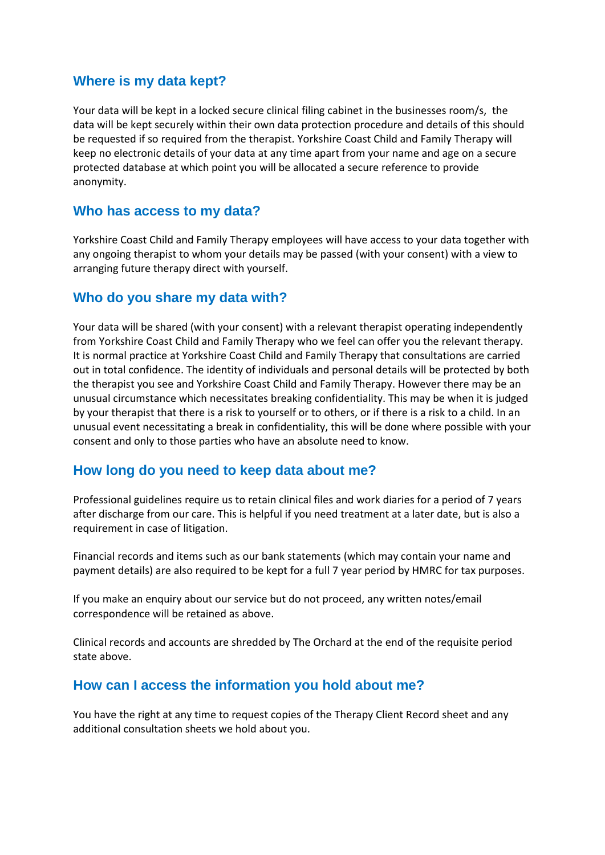### **Where is my data kept?**

Your data will be kept in a locked secure clinical filing cabinet in the businesses room/s, the data will be kept securely within their own data protection procedure and details of this should be requested if so required from the therapist. Yorkshire Coast Child and Family Therapy will keep no electronic details of your data at any time apart from your name and age on a secure protected database at which point you will be allocated a secure reference to provide anonymity.

#### **Who has access to my data?**

Yorkshire Coast Child and Family Therapy employees will have access to your data together with any ongoing therapist to whom your details may be passed (with your consent) with a view to arranging future therapy direct with yourself.

#### **Who do you share my data with?**

Your data will be shared (with your consent) with a relevant therapist operating independently from Yorkshire Coast Child and Family Therapy who we feel can offer you the relevant therapy. It is normal practice at Yorkshire Coast Child and Family Therapy that consultations are carried out in total confidence. The identity of individuals and personal details will be protected by both the therapist you see and Yorkshire Coast Child and Family Therapy. However there may be an unusual circumstance which necessitates breaking confidentiality. This may be when it is judged by your therapist that there is a risk to yourself or to others, or if there is a risk to a child. In an unusual event necessitating a break in confidentiality, this will be done where possible with your consent and only to those parties who have an absolute need to know.

#### **How long do you need to keep data about me?**

Professional guidelines require us to retain clinical files and work diaries for a period of 7 years after discharge from our care. This is helpful if you need treatment at a later date, but is also a requirement in case of litigation.

Financial records and items such as our bank statements (which may contain your name and payment details) are also required to be kept for a full 7 year period by HMRC for tax purposes.

If you make an enquiry about our service but do not proceed, any written notes/email correspondence will be retained as above.

Clinical records and accounts are shredded by The Orchard at the end of the requisite period state above.

#### **How can I access the information you hold about me?**

You have the right at any time to request copies of the Therapy Client Record sheet and any additional consultation sheets we hold about you.